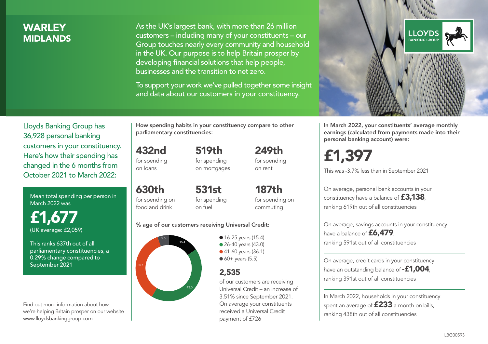## **WARLEY MIDI ANDS**

As the UK's largest bank, with more than 26 million customers – including many of your constituents – our Group touches nearly every community and household in the UK. Our purpose is to help Britain prosper by developing financial solutions that help people, businesses and the transition to net zero.

To support your work we've pulled together some insight and data about our customers in your constituency.



Mean total spending per person in March 2022 was

£1,677 (UK average: £2,059)

This ranks 637th out of all parliamentary constituencies, a 0.29% change compared to September 2021

Find out more information about how we're helping Britain prosper on our website www.lloydsbankinggroup.com

How spending habits in your constituency compare to other parliamentary constituencies:

519th

432nd for spending on loans

for spending on mortgages

for spending on rent

630th for spending on food and drink 531st for spending on fuel

187th for spending on commuting

249th

#### % age of our customers receiving Universal Credit:



• 16-25 years (15.4) ● 26-40 years (43.0) ● 41-60 years (36.1)  $60+$  years (5.5)

## 2,535

of our customers are receiving Universal Credit – an increase of 3.51% since September 2021. On average your constituents received a Universal Credit payment of £726



In March 2022, your constituents' average monthly earnings (calculated from payments made into their personal banking account) were:

£1,397

This was -3.7% less than in September 2021

On average, personal bank accounts in your constituency have a balance of **£3,138**, ranking 619th out of all constituencies

On average, savings accounts in your constituency have a balance of £6,479. ranking 591st out of all constituencies

On average, credit cards in your constituency have an outstanding balance of **-£1,004**, ranking 391st out of all constituencies

In March 2022, households in your constituency spent an average of  $£233$  a month on bills, ranking 438th out of all constituencies